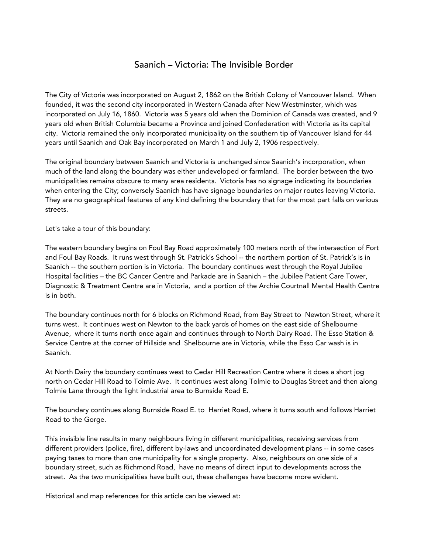## Saanich – Victoria: The Invisible Border

The City of Victoria was incorporated on August 2, 1862 on the British Colony of Vancouver Island. When founded, it was the second city incorporated in Western Canada after New Westminster, which was incorporated on July 16, 1860. Victoria was 5 years old when the Dominion of Canada was created, and 9 years old when British Columbia became a Province and joined Confederation with Victoria as its capital city. Victoria remained the only incorporated municipality on the southern tip of Vancouver Island for 44 years until Saanich and Oak Bay incorporated on March 1 and July 2, 1906 respectively.

The original boundary between Saanich and Victoria is unchanged since Saanich's incorporation, when much of the land along the boundary was either undeveloped or farmland. The border between the two municipalities remains obscure to many area residents. Victoria has no signage indicating its boundaries when entering the City; conversely Saanich has have signage boundaries on major routes leaving Victoria. They are no geographical features of any kind defining the boundary that for the most part falls on various streets.

Let's take a tour of this boundary:

The eastern boundary begins on Foul Bay Road approximately 100 meters north of the intersection of Fort and Foul Bay Roads. It runs west through St. Patrick's School -- the northern portion of St. Patrick's is in Saanich -- the southern portion is in Victoria. The boundary continues west through the Royal Jubilee Hospital facilities – the BC Cancer Centre and Parkade are in Saanich – the Jubilee Patient Care Tower, Diagnostic & Treatment Centre are in Victoria, and a portion of the Archie Courtnall Mental Health Centre is in both.

The boundary continues north for 6 blocks on Richmond Road, from Bay Street to Newton Street, where it turns west. It continues west on Newton to the back yards of homes on the east side of Shelbourne Avenue, where it turns north once again and continues through to North Dairy Road. The Esso Station & Service Centre at the corner of Hillside and Shelbourne are in Victoria, while the Esso Car wash is in Saanich.

At North Dairy the boundary continues west to Cedar Hill Recreation Centre where it does a short jog north on Cedar Hill Road to Tolmie Ave. It continues west along Tolmie to Douglas Street and then along Tolmie Lane through the light industrial area to Burnside Road E.

The boundary continues along Burnside Road E. to Harriet Road, where it turns south and follows Harriet Road to the Gorge.

This invisible line results in many neighbours living in different municipalities, receiving services from different providers (police, fire), different by-laws and uncoordinated development plans -- in some cases paying taxes to more than one municipality for a single property. Also, neighbours on one side of a boundary street, such as Richmond Road, have no means of direct input to developments across the street. As the two municipalities have built out, these challenges have become more evident.

Historical and map references for this article can be viewed at: